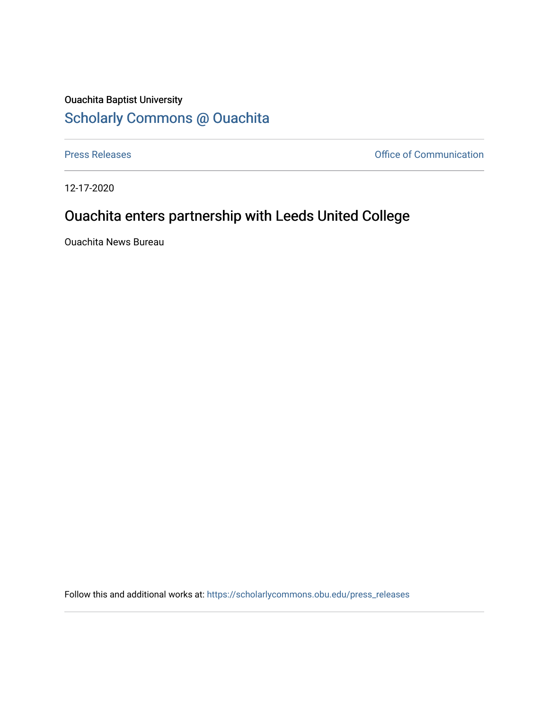## Ouachita Baptist University [Scholarly Commons @ Ouachita](https://scholarlycommons.obu.edu/)

[Press Releases](https://scholarlycommons.obu.edu/press_releases) **Communication Press Releases Office of Communication** 

12-17-2020

## Ouachita enters partnership with Leeds United College

Ouachita News Bureau

Follow this and additional works at: [https://scholarlycommons.obu.edu/press\\_releases](https://scholarlycommons.obu.edu/press_releases?utm_source=scholarlycommons.obu.edu%2Fpress_releases%2F747&utm_medium=PDF&utm_campaign=PDFCoverPages)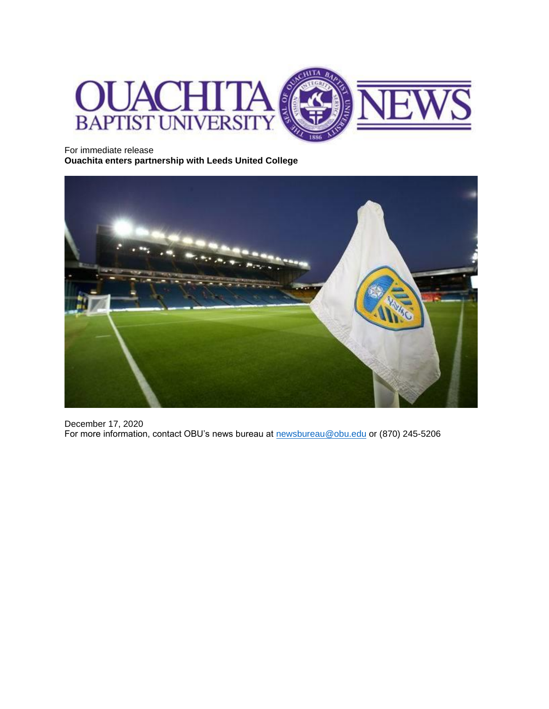

For immediate release **Ouachita enters partnership with Leeds United College**



December 17, 2020 For more information, contact OBU's news bureau at **newsbureau@obu.edu** or (870) 245-5206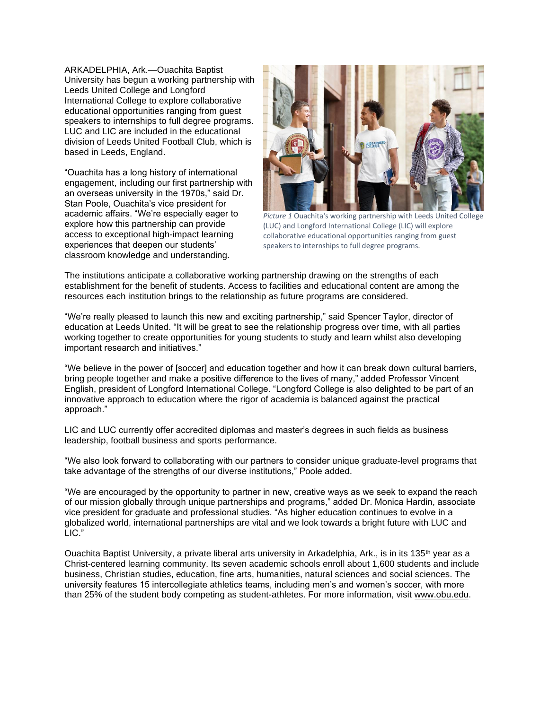ARKADELPHIA, Ark.—Ouachita Baptist University has begun a working partnership with Leeds United College and Longford International College to explore collaborative educational opportunities ranging from guest speakers to internships to full degree programs. LUC and LIC are included in the educational division of Leeds United Football Club, which is based in Leeds, England.

"Ouachita has a long history of international engagement, including our first partnership with an overseas university in the 1970s," said Dr. Stan Poole, Ouachita's vice president for academic affairs. "We're especially eager to explore how this partnership can provide access to exceptional high-impact learning experiences that deepen our students' classroom knowledge and understanding.



*Picture 1* Ouachita's working partnership with Leeds United College (LUC) and Longford International College (LIC) will explore collaborative educational opportunities ranging from guest speakers to internships to full degree programs.

The institutions anticipate a collaborative working partnership drawing on the strengths of each establishment for the benefit of students. Access to facilities and educational content are among the resources each institution brings to the relationship as future programs are considered.

"We're really pleased to launch this new and exciting partnership," said Spencer Taylor, director of education at Leeds United. "It will be great to see the relationship progress over time, with all parties working together to create opportunities for young students to study and learn whilst also developing important research and initiatives."

"We believe in the power of [soccer] and education together and how it can break down cultural barriers, bring people together and make a positive difference to the lives of many," added Professor Vincent English, president of Longford International College. "Longford College is also delighted to be part of an innovative approach to education where the rigor of academia is balanced against the practical approach."

LIC and LUC currently offer accredited diplomas and master's degrees in such fields as business leadership, football business and sports performance.

"We also look forward to collaborating with our partners to consider unique graduate-level programs that take advantage of the strengths of our diverse institutions," Poole added.

"We are encouraged by the opportunity to partner in new, creative ways as we seek to expand the reach of our mission globally through unique partnerships and programs," added Dr. Monica Hardin, associate vice president for graduate and professional studies. "As higher education continues to evolve in a globalized world, international partnerships are vital and we look towards a bright future with LUC and LIC."

Ouachita Baptist University, a private liberal arts university in Arkadelphia, Ark., is in its 135<sup>th</sup> year as a Christ-centered learning community. Its seven academic schools enroll about 1,600 students and include business, Christian studies, education, fine arts, humanities, natural sciences and social sciences. The university features 15 intercollegiate athletics teams, including men's and women's soccer, with more than 25% of the student body competing as student-athletes. For more information, visit [www.obu.edu.](http://www.obu.edu/)